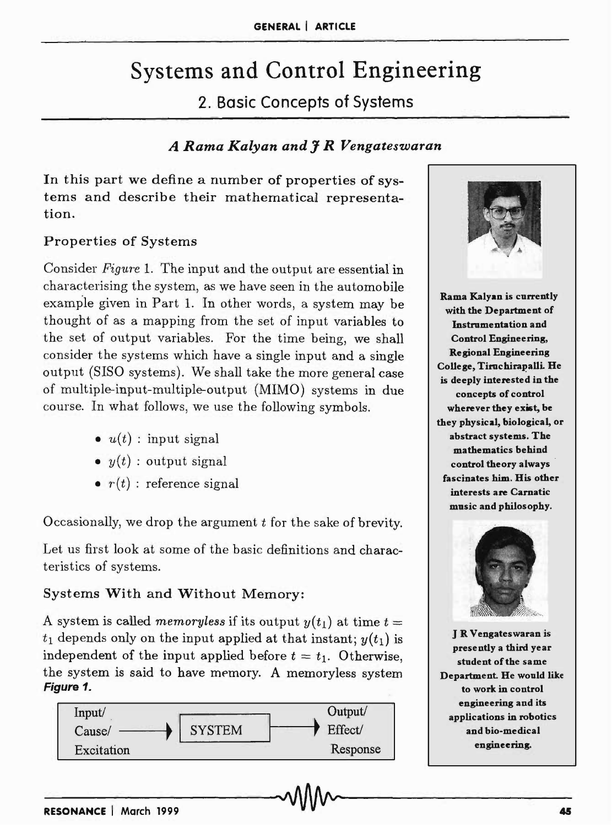# Systems and Control Engineering

2. Basic Concepts of Systems

## *A Rama Kalyan and* J *R Vengateswaran*

In this part we define a number of properties of systems and describe their mathematical representation.

## Properties of Systems

Consider *Figure* 1. The input and the output are essential in characterising the system, as we have seen in the automobile example given in Part 1. In other words, a system may be thought of as a mapping from the set of input variables to the set of output variables. For the time being, we shall consider the systems which have a single input and a single output (8180 systems). We shall take the more general case of multiple-input-multiple-output (MIMO) systems in due course. In what follows, we use the following symbols.

- $\bullet u(t)$ : input signal
- $y(t)$  : output signal
- $\bullet$   $r(t)$ : reference signal

Occasionally, we drop the argument *t* for the sake of brevity.

Let us first look at some of the basic definitions and characteristics of systems.

## Systems With and Without Memory:

A system is called *memoryless* if its output  $y(t_1)$  at time  $t =$  $t_1$  depends only on the input applied at that instant;  $y(t_1)$  is independent of the input applied before  $t = t_1$ . Otherwise, the system is said to have memory. A memoryless system Figure 1.





Rama Kalyan is currently with the Department of Instrumentation and Control Engineering, Regional Engineering College, Tiruchirapalli. He is deeply interested in the concepts of control wherever they exist, be they physical, biological, or abstract systems. The mathematics behind control theory always fascinates him. His other interests are Carnatic music and philosophy.



J R V engates waran is presently a third year student of the same Department. He would like to work in control engineering and its applications in robotics and bio-medical engineering.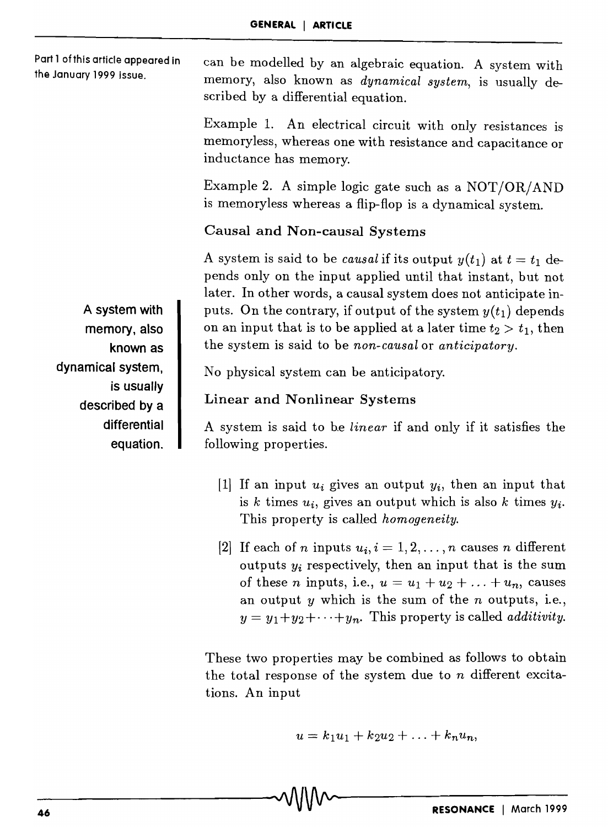Part 1 ofthis article appeared in the January 1999 issue.

can be modelled by an algebraic equation. A system with memory, also known as *dynamical system,* is usually described by a differential equation.

Example 1. An electrical circuit with only resistances is memo ryless, whereas one with resistance and capacitance or inductance has memory.

Example 2. A simple logic gate such as a NOT/OR/AND is memoryless whereas a flip-flop is a dynamical system.

#### Causal and Non-causal Systems

A system is said to be *causal* if its output  $y(t_1)$  at  $t = t_1$  depends only on the input applied until that instant, but not later. In other words, a causal system does not anticipate inputs. On the contrary, if output of the system  $y(t_1)$  depends on an input that is to be applied at a later time  $t_2 > t_1$ , then the system is said to be *non-causal* or *anticipatory.* 

No physical system can be anticipatory.

## Linear and Nonlinear Systems

A system is said to he *linear* if and only if it satisfies the following properties.

- [1] If an input *Ui* gives an output *Yi,* then an input that is  $k$  times  $u_i$ , gives an output which is also  $k$  times  $y_i$ . This property is called *homogeneity.*
- [2] If each of *n* inputs  $u_i$ ,  $i=1,2,\ldots,n$  causes *n* different outputs  $y_i$  respectively, then an input that is the sum of these *n* inputs, i.e.,  $u = u_1 + u_2 + \ldots + u_n$ , causes an output  $y$  which is the sum of the  $n$  outputs, i.e.,  $y = y_1 + y_2 + \cdots + y_n$ . This property is called *additivity*.

These two properties may be combined as follows to obtain the total response of the system due to *n* different excitations. An input

$$
u=k_1u_1+k_2u_2+\ldots+k_nu_n,
$$

A system with memory, also known as dynamical system, is usually described by a differential equation.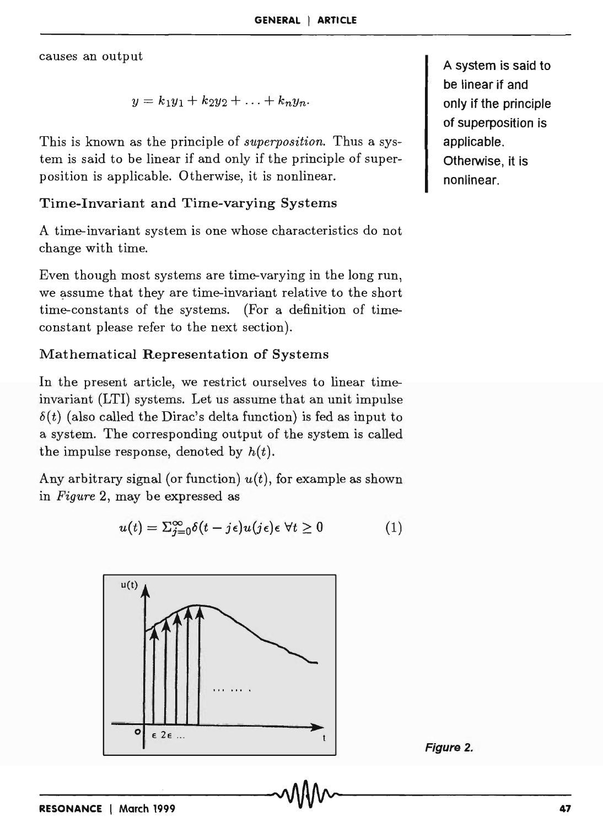causes an output

$$
y=k_1y_1+k_2y_2+\ldots+k_ny_n.
$$

This is known as the principle of *superposition.* Thus a system is said to be linear if and only if the principle of superposition is applicable. Otherwise, it is nonlinear.

#### Time-Invariant and Time-varying Systems

A time-invariant system is one whose characteristics do not change with time.

Even though most systems are time-varying in the long run, we assume that they are time-invariant relative to the short time-constants of the systems. (For a definition of timeconstant please refer to the next section).

## Mathematical Representation of Systems

In the present article, we restrict ourselves to linear timeinvariant (LTI) systems. Let us assume that an unit impulse  $\delta(t)$  (also called the Dirac's delta function) is fed as input to a system. The corresponding output of the system is called the impulse response, denoted by  $h(t)$ .

Any arbitrary signal (or function) *u(t),* for example as shown in *Figure* 2, may be expressed as

$$
u(t) = \sum_{j=0}^{\infty} \delta(t - j\epsilon) u(j\epsilon) \epsilon \ \forall t \ge 0 \tag{1}
$$



Figure 2.

A system is said to be linear if and only if the principle of superposition is applicable. Otherwise, it is nonlinear.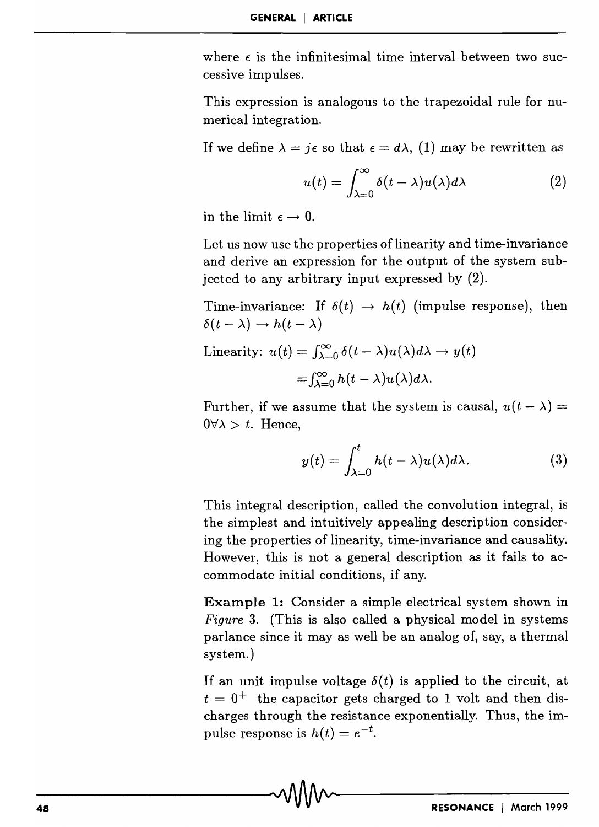where  $\epsilon$  is the infinitesimal time interval between two successive impulses.

This expression is analogous to the trapezoidal rule for numerical integration.

If we define  $\lambda = i\epsilon$  so that  $\epsilon = d\lambda$ , (1) may be rewritten as

$$
u(t) = \int_{\lambda=0}^{\infty} \delta(t-\lambda) u(\lambda) d\lambda \qquad (2)
$$

in the limit  $\epsilon \rightarrow 0$ .

Let us now use the properties of linearity and time-invariance and derive an expression for the output of the system subjected to any arbitrary input expressed by (2).

Time-invariance: If  $\delta(t) \rightarrow h(t)$  (impulse response), then  $\delta(t - \lambda) \rightarrow h(t - \lambda)$ 

Linearity:  $u(t) = \int_{\lambda=0}^{\infty} \delta(t-\lambda)u(\lambda)d\lambda \to y(t)$  $=\int_{\lambda=0}^{\infty} h(t-\lambda)u(\lambda)d\lambda.$ 

Further, if we assume that the system is causal,  $u(t - \lambda) =$  $0\forall \lambda > t$ . Hence,

$$
y(t) = \int_{\lambda=0}^{t} h(t-\lambda)u(\lambda)d\lambda.
$$
 (3)

This integral description, called the convolution integral, is the simplest and intuitively appealing description considering the properties of linearity, time-invariance and causality. However, this is not a general description as it fails to accommodate initial conditions, if any.

**Example 1:** Consider a simple electrical system shown in *Figure* 3. (This is also called a physical model in systems parlance since it may as well be an analog of, say, a thermal system.)

If an unit impulse voltage  $\delta(t)$  is applied to the circuit, at  $t = 0^+$  the capacitor gets charged to 1 volt and then discharges through the resistance exponentially. Thus, the impulse response is  $h(t) = e^{-t}$ .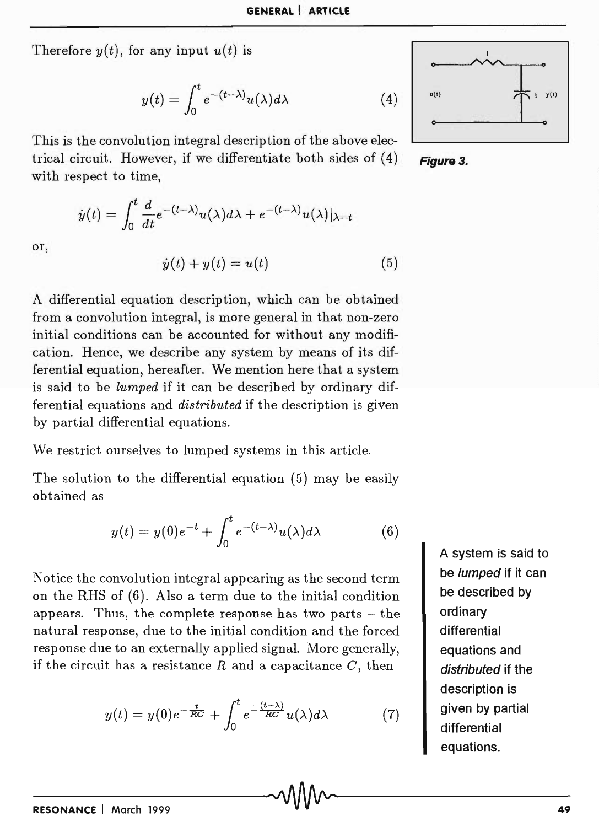Therefore  $y(t)$ , for any input  $u(t)$  is

or,

$$
y(t)=\int_0^t e^{-(t-\lambda)}u(\lambda)d\lambda
$$

This is the convolution integral description of the above electrical circuit. However, if we differentiate both sides of (4) **Figure 3.** with respect to time,

$$
\dot{y}(t) = \int_0^t \frac{d}{dt} e^{-(t-\lambda)} u(\lambda) d\lambda + e^{-(t-\lambda)} u(\lambda)|_{\lambda=t}
$$

$$
\dot{y}(t) + y(t) = u(t) \tag{5}
$$

A differential equation description, which can be obtained from a convolution integral, is more general in that non-zero initial conditions can be accounted for without any modification. Hence, we describe any system by means of its differential equation, hereafter. We mention here that a system is said to be *lumped* if it can be described by ordinary differential equations and *distributed* if the description is given by partial differential equations.

We restrict ourselves to lumped systems in this article.

The solution to the differential equation (5) may be easily obtained as

$$
y(t) = y(0)e^{-t} + \int_0^t e^{-(t-\lambda)}u(\lambda)d\lambda
$$
 (6)

Notice the convolution integral appearing as the second term on the RHS of (6). Also a term due to the initial condition appears. Thus, the complete response has two parts  $-$  the natural response, due to the initial condition and the forced response due to an externally applied signal. More generally, if the circuit has a resistance *R* and a capacitance *C,* then

$$
y(t) = y(0)e^{-\frac{t}{RC}} + \int_0^t e^{-\frac{(t-\lambda)}{RC}}u(\lambda)d\lambda \tag{7}
$$

A system is said to be lumped if it can be described by ordinary differential equations and distributed if the description is given by partial differential equations.

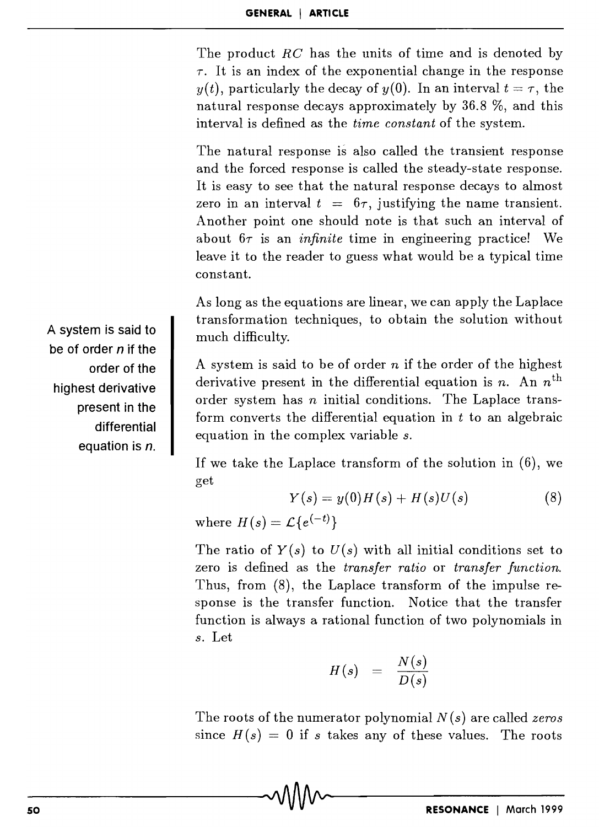The product  $RC$  has the units of time and is denoted by  $\tau$ . It is an index of the exponential change in the response *y(t)*, particularly the decay of *y(0)*. In an interval  $t = \tau$ , the natural response decays approximately by 36.8 %, and this interval is defined as the *time constant* of the system.

The natural response is also called the transient response and the forced response is called the steady-state response. It is easy to see that the natural response decays to almost zero in an interval  $t = 6\tau$ , justifying the name transient. Another point one should note is that such an interval of about  $6\tau$  is an *infinite* time in engineering practice! We leave it to the reader to guess what would be a typical time constant.

As long as the equations are linear, we can apply the Laplace transformation techniques, to obtain the solution without much difficulty.

A system is said to be of order *n* if the order of the highest derivative present in the differential equation is  $n$ . An  $n^{\text{th}}$ order system has *n* initial conditions. The Laplace transform converts the differential equation in *t* to an algebraic equation in the complex variable *s.* 

If we take the Laplace transform of the solution in (6), we get

$$
Y(s) = y(0)H(s) + H(s)U(s)
$$
 (8)

where  $H(s) = \mathcal{L}\lbrace e^{(-t)} \rbrace$ 

The ratio of  $Y(s)$  to  $U(s)$  with all initial conditions set to zero is defined as the *transfer ratio* or *transfer function.*  Thus, from (8), the Laplace transform of the impulse response is the transfer function. Notice that the transfer function is always a rational function of two polynomials in *s.* Let

$$
H(s) = \frac{N(s)}{D(s)}
$$

The roots of the numerator polynomial *N (s)* are called *zeros*  since  $H(s) = 0$  if s takes any of these values. The roots

A **system is said to be of order** *n* **if the order of the highest derivative present in the differential equation is n.**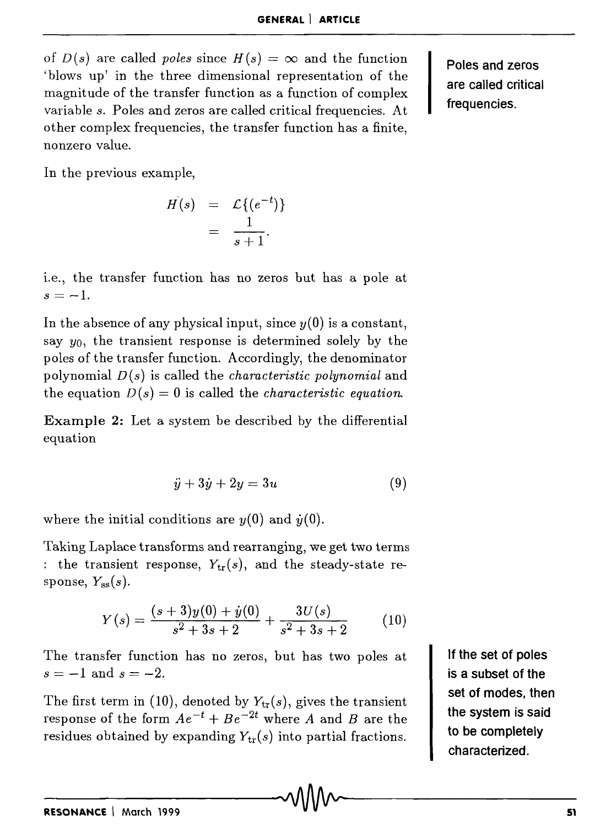of  $D(s)$  are called *poles* since  $H(s) = \infty$  and the function 'blows up' in the three dimensional representation of the magnitude of the transfer function as a function of complex variable *s.* Poles and zeros are called critical frequencies. At other complex frequencies, the transfer function has a finite, nonzero value.

Poles and zeros are called critical frequencies.

In the previous example,

$$
H(s) = \mathcal{L}\{(e^{-t})\}
$$
  
= 
$$
\frac{1}{s+1}.
$$

l.e., the transfer function has no zeros but has a pole at  $s=-1$ .

In the absence of any physical input, since  $y(0)$  is a constant, say  $y_0$ , the transient response is determined solely by the poles of the transfer function. Accordingly, the denominator polynomial D *(s)* is called the *characteristic polynomial* and the equation  $D(s) = 0$  is called the *characteristic equation*.

Example 2: Let a system be described by the differential equation

$$
\ddot{y} + 3\dot{y} + 2y = 3u \tag{9}
$$

where the initial conditions are  $y(0)$  and  $\dot{y}(0)$ .

Taking Laplace transforms and rearranging, we get two terms : the transient response,  $Y_{tr}(s)$ , and the steady-state response,  $Y_{ss}(s)$ .

$$
Y(s) = \frac{(s+3)y(0) + \dot{y}(0)}{s^2 + 3s + 2} + \frac{3U(s)}{s^2 + 3s + 2}
$$
 (10)

The transfer function has no zeros, but has two poles at  $s=-1$  and  $s=-2$ .

The first term in (10), denoted by  $Y_{tr}(s)$ , gives the transient response of the form  $Ae^{-t} + Be^{-2t}$  where *A* and *B* are the residues obtained by expanding  $Y_{tr}(s)$  into partial fractions.

If the set of poles is a subset of the set of modes, then the system is said to be completely characterized.